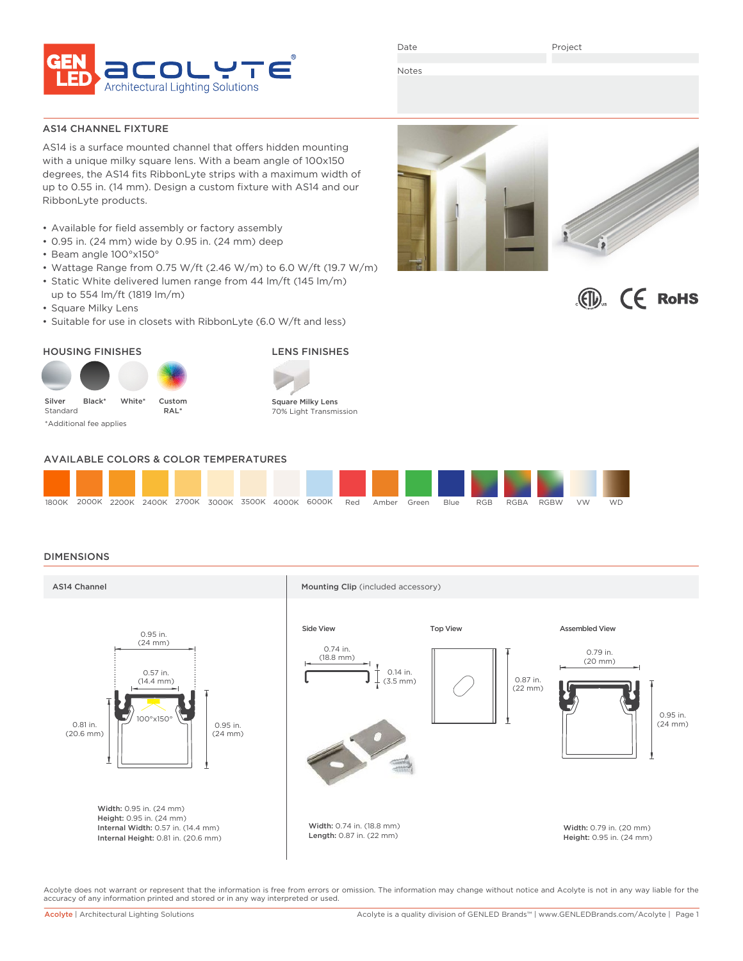

Date

Project

 $\left(\bigcirc\right)$   $\left(\bigcirc\right)$  RoHS

Notes

AS14 CHANNEL FIXTURE

AS14 is a surface mounted channel that offers hidden mounting with a unique milky square lens. With a beam angle of 100x150 degrees, the AS14 fits RibbonLyte strips with a maximum width of up to 0.55 in. (14 mm). Design a custom fixture with AS14 and our RibbonLyte products.

- Available for field assembly or factory assembly
- 0.95 in. (24 mm) wide by 0.95 in. (24 mm) deep
- Beam angle 100°x150°
- Wattage Range from 0.75 W/ft (2.46 W/m) to 6.0 W/ft (19.7 W/m)
- Static White delivered lumen range from 44 lm/ft (145 lm/m) up to 554 lm/ft (1819 lm/m)
- Square Milky Lens
- Suitable for use in closets with RibbonLyte (6.0 W/ft and less)

### HOUSING FINISHES LENS FINISHES





Square Milky Lens 70% Light Transmission

# AVAILABLE COLORS & COLOR TEMPERATURES



## DIMENSIONS



Acolyte does not warrant or represent that the information is free from errors or omission. The information may change without notice and Acolyte is not in any way liable for the accuracy of any information printed and stored or in any way interpreted or used.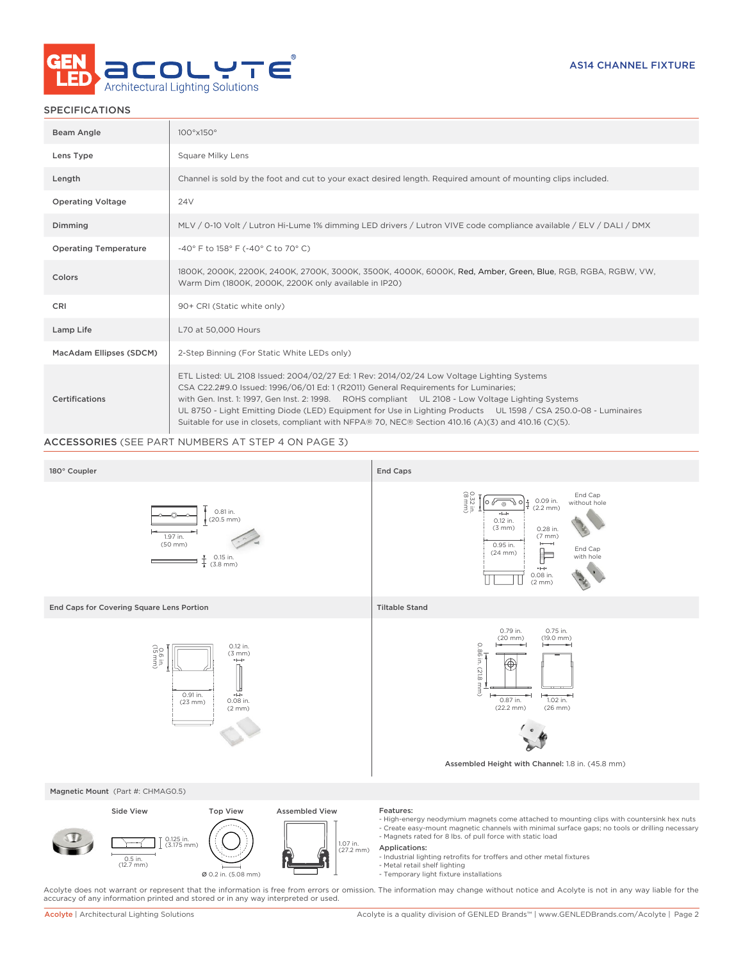

# SPECIFICATIONS

| Beam Angle                   | $100^\circ \times 150^\circ$                                                                                                                                                                                                                                                                                                                                                                                                                                                                                    |
|------------------------------|-----------------------------------------------------------------------------------------------------------------------------------------------------------------------------------------------------------------------------------------------------------------------------------------------------------------------------------------------------------------------------------------------------------------------------------------------------------------------------------------------------------------|
| Lens Type                    | Square Milky Lens                                                                                                                                                                                                                                                                                                                                                                                                                                                                                               |
| Length                       | Channel is sold by the foot and cut to your exact desired length. Required amount of mounting clips included.                                                                                                                                                                                                                                                                                                                                                                                                   |
| <b>Operating Voltage</b>     | <b>24V</b>                                                                                                                                                                                                                                                                                                                                                                                                                                                                                                      |
| Dimming                      | MLV / 0-10 Volt / Lutron Hi-Lume 1% dimming LED drivers / Lutron VIVE code compliance available / ELV / DALI / DMX                                                                                                                                                                                                                                                                                                                                                                                              |
| <b>Operating Temperature</b> | -40° F to 158° F (-40° C to 70° C)                                                                                                                                                                                                                                                                                                                                                                                                                                                                              |
| Colors                       | 1800K, 2000K, 2200K, 2400K, 2700K, 3000K, 3500K, 4000K, 6000K, Red, Amber, Green, Blue, RGB, RGBA, RGBW, VW,<br>Warm Dim (1800K, 2000K, 2200K only available in IP20)                                                                                                                                                                                                                                                                                                                                           |
| CRI                          | 90+ CRI (Static white only)                                                                                                                                                                                                                                                                                                                                                                                                                                                                                     |
| Lamp Life                    | L70 at 50,000 Hours                                                                                                                                                                                                                                                                                                                                                                                                                                                                                             |
| MacAdam Ellipses (SDCM)      | 2-Step Binning (For Static White LEDs only)                                                                                                                                                                                                                                                                                                                                                                                                                                                                     |
| Certifications               | ETL Listed: UL 2108 Issued: 2004/02/27 Ed: 1 Rev: 2014/02/24 Low Voltage Lighting Systems<br>CSA C22.2#9.0 Issued: 1996/06/01 Ed: 1 (R2011) General Requirements for Luminaries;<br>with Gen. Inst. 1: 1997, Gen Inst. 2: 1998. ROHS compliant UL 2108 - Low Voltage Lighting Systems<br>UL 8750 - Light Emitting Diode (LED) Equipment for Use in Lighting Products UL 1598 / CSA 250.0-08 - Luminaires<br>Suitable for use in closets, compliant with NFPA® 70, NEC® Section 410.16 (A)(3) and 410.16 (C)(5). |

# ACCESSORIES (SEE PART NUMBERS AT STEP 4 ON PAGE 3)



Acolyte does not warrant or represent that the information is free from errors or omission. The information may change without notice and Acolyte is not in any way liable for the<br>accuracy of any information printed and sto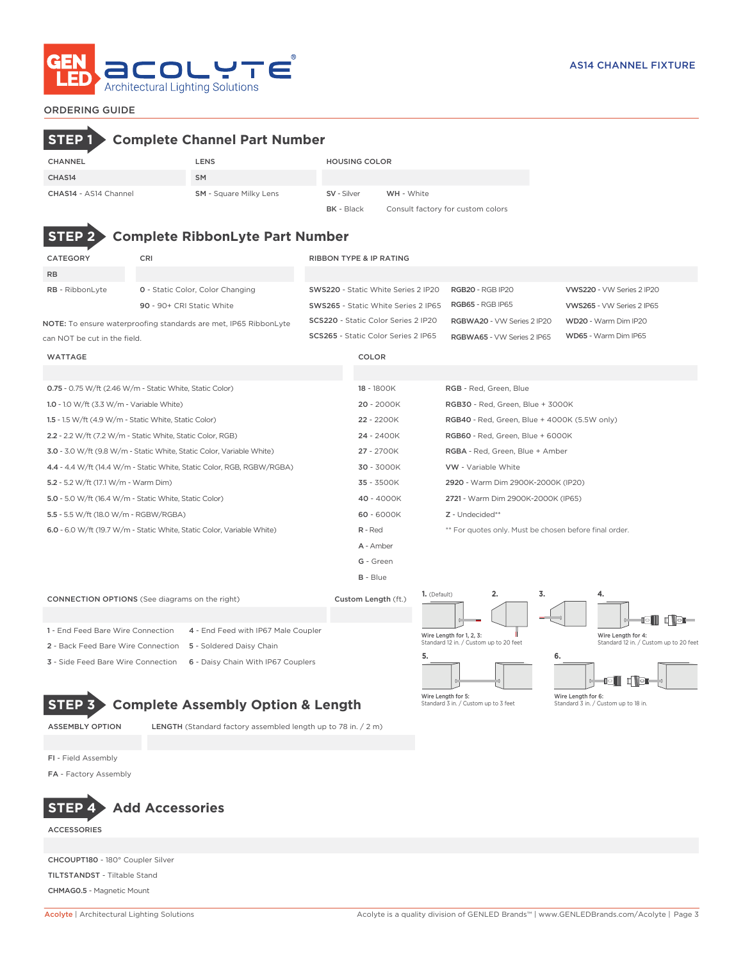

# ORDERING GUIDE

# **STEP 1 Complete Channel Part Number** CHANNEL LENS LENS HOUSING COLOR CHAS14 SM CHAS14 - AS14 Channel SM - Square Milky Lens SV - Silver WH - White **BK** - Black Consult factory for custom colors **STEP 2 Complete RibbonLyte Part Number** CATEGORY CRI CRI RIBBON TYPE & IP RATING RB RB - RibbonLyte **0** - Static Color, Color Changing SWS220 - Static White Series 2 IP20 RGB20 - RGB IP20 VWS220 - VW Series 2 IP20 90 - 90+ CRI Static White SWS265 - Static White Series 2 IP65 RGB65 - RGB IP65 VWS265 - VW Series 2 IP65 SCS220 - Static Color Series 2 IP20 RGBWA20 - VW Series 2 IP20 WD20 - Warm Dim IP20 NOTE: To ensure waterproofing standards are met, IP65 RibbonLyte SCS265 - Static Color Series 2 IP65 RGBWA65 - VW Series 2 IP65 WD65 - Warm Dim IP65 can NOT be cut in the field. WATTAGE COLOR 0.75 - 0.75 W/ft (2.46 W/m - Static White, Static Color) 18 - 1800K RGB - Red, Green, Blue 1.0 - 1.0 W/ft (3.3 W/m - Variable White) 20 - 2000K RGB30 - Red, Green, Blue + 3000K 1.5 - 1.5 W/ft (4.9 W/m - Static White, Static Color) 22 - 2200K RGB40 - Red, Green, Blue + 4000K (5.5W only) 2.2 - 2.2 W/ft (7.2 W/m - Static White, Static Color, RGB) 24 - 2400K RGB60 - Red, Green, Blue + 6000K 3.0 - 3.0 W/ft (9.8 W/m - Static White, Static Color, Variable White) 27 - 2700K RGBA - Red, Green, Blue + Amber 4.4 - 4.4 W/ft (14.4 W/m - Static White, Static Color, RGB, RGBW/RGBA) 30 - 3000K VW - Variable White 5.2 - 5.2 W/ft (17.1 W/m - Warm Dim) 35 - 3500K 2920 - Warm Dim 2900K-2000K (IP20) 5.0 - 5.0 W/ft (16.4 W/m - Static White, Static Color) 40 - 4000K 2721 - Warm Dim 2900K-2000K (IP65) 5.5 - 5.5 W/ft (18.0 W/m - RGBW/RGBA) 60 - 6000K Z - Undecided\*\* 6.0 - 6.0 W/ft (19.7 W/m - Static White, Static Color, Variable White) R - Red \*\* For quotes only. Must be chosen before final order. A - Amber G - Green B - Blue **1.** (Default) **2. 3. 4.** CONNECTION OPTIONS (See diagrams on the right) Custom Length (ft.) **eii (1**61– 1 - End Feed Bare Wire Connection 4 - End Feed with IP67 Male Coupler Wire Length for 1, 2, 3: Wire Length for 4: Standard 12 in. / Custom up to 20 feet Standard 12 in. / Custom up to 20 feet 2 - Back Feed Bare Wire Connection 5 - Soldered Daisy Chain **5. 6.** 3 - Side Feed Bare Wire Connection 6 - Daisy Chain With IP67 Couplers n Vər Wire Length for 5: Wire Length for 6: **STEP 3 Complete Assembly Option & Length** Standard 3 in. / Custom up to 3 feet odard 3 in. / Custom up to 18 in.

ASSEMBLY OPTION LENGTH (Standard factory assembled length up to 78 in. / 2 m)

FI - Field Assembly FA - Factory Assembly



ACCESSORIES

CHCOUPT180 - 180° Coupler Silver TILTSTANDST - Tiltable Stand CHMAG0.5 - Magnetic Mount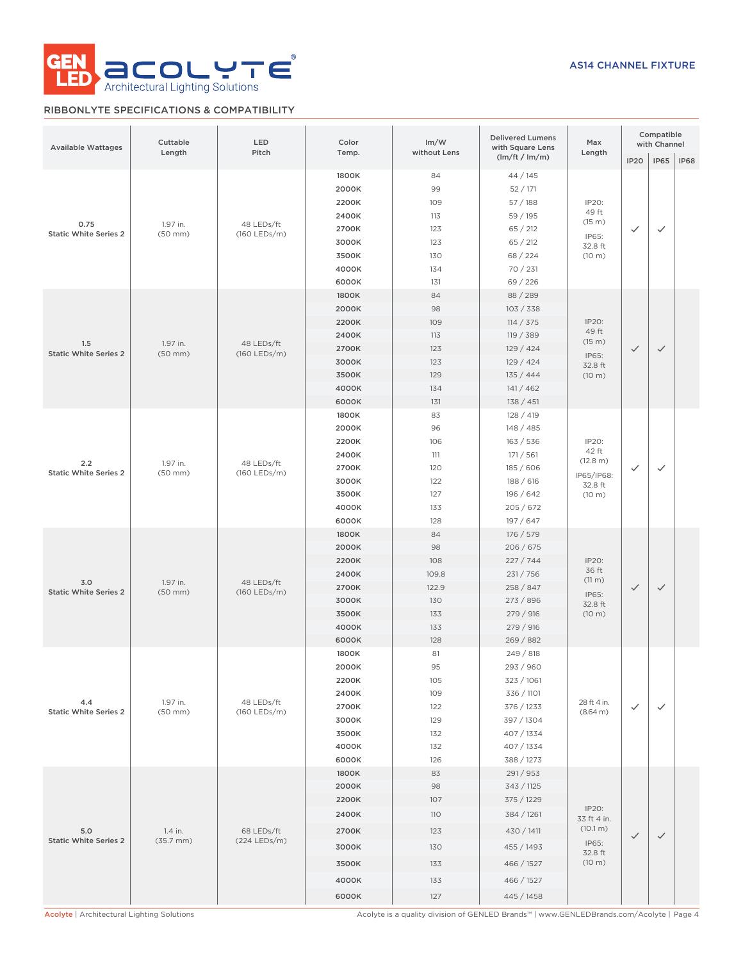

# RIBBONLYTE SPECIFICATIONS & COMPATIBILITY

| <b>Available Wattages</b>            | Cuttable<br>Length               | <b>LED</b><br>Pitch        | Color<br>Temp.                                                                | Im/W<br>without Lens                                          | <b>Delivered Lumens</b><br>with Square Lens                                                                               | Max<br>Length                                                  |              | Compatible<br>with Channel |             |
|--------------------------------------|----------------------------------|----------------------------|-------------------------------------------------------------------------------|---------------------------------------------------------------|---------------------------------------------------------------------------------------------------------------------------|----------------------------------------------------------------|--------------|----------------------------|-------------|
|                                      |                                  |                            |                                                                               |                                                               | (lm/ft / lm/m)                                                                                                            |                                                                | <b>IP20</b>  | <b>IP65</b>                | <b>IP68</b> |
| 0.75<br><b>Static White Series 2</b> | 1.97 in.<br>$(50$ mm $)$         | 48 LEDs/ft<br>(160 LEDs/m) | 1800K<br>2000K<br>2200K<br>2400K<br>2700K<br>3000K<br>3500K<br>4000K<br>6000K | 84<br>99<br>109<br>113<br>123<br>123<br>130<br>134<br>131     | 44 / 145<br>52/171<br>57/188<br>59 / 195<br>65 / 212<br>65 / 212<br>68 / 224<br>70 / 231<br>69 / 226                      | IP20:<br>49 ft<br>(15 m)<br>IP65:<br>32.8 ft<br>(10 m)         | $\checkmark$ | $\checkmark$               |             |
| 1.5<br><b>Static White Series 2</b>  | 1.97 in.<br>$(50$ mm $)$         | 48 LEDs/ft<br>(160 LEDs/m) | 1800K<br>2000K<br>2200K<br>2400K<br>2700K<br>3000K<br>3500K<br>4000K<br>6000K | 84<br>98<br>109<br>113<br>123<br>123<br>129<br>134<br>131     | 88 / 289<br>103 / 338<br>114 / 375<br>119 / 389<br>129 / 424<br>129/424<br>135/444<br>141/462<br>138 / 451                | IP20:<br>49 ft<br>(15 m)<br>IP65:<br>32.8 ft<br>(10 m)         | $\checkmark$ | $\checkmark$               |             |
| 2.2<br><b>Static White Series 2</b>  | 1.97 in.<br>$(50$ mm $)$         | 48 LEDs/ft<br>(160 LEDs/m) | 1800K<br>2000K<br>2200K<br>2400K<br>2700K<br>3000K<br>3500K<br>4000K<br>6000K | 83<br>96<br>106<br>111<br>120<br>122<br>127<br>133<br>128     | 128 / 419<br>148 / 485<br>163 / 536<br>171 / 561<br>185 / 606<br>188 / 616<br>196 / 642<br>205/672<br>197 / 647           | IP20:<br>42 ft<br>(12.8 m)<br>IP65/IP68:<br>32.8 ft<br>(10 m)  | ✓            | $\checkmark$               |             |
| 3.0<br><b>Static White Series 2</b>  | 1.97 in.<br>$(50$ mm $)$         | 48 LEDs/ft<br>(160 LEDs/m) | 1800K<br>2000K<br>2200K<br>2400K<br>2700K<br>3000K<br>3500K<br>4000K<br>6000K | 84<br>98<br>108<br>109.8<br>122.9<br>130<br>133<br>133<br>128 | 176 / 579<br>206 / 675<br>227 / 744<br>231 / 756<br>258 / 847<br>273 / 896<br>279 / 916<br>279 / 916<br>269 / 882         | IP20:<br>36 ft<br>(11 m)<br>IP65:<br>32.8 ft<br>(10 m)         | $\checkmark$ | $\checkmark$               |             |
| 4.4<br><b>Static White Series 2</b>  | 1.97 in.<br>$(50$ mm $)$         | 48 LEDs/ft<br>(160 LEDs/m) | 1800K<br>2000K<br>2200K<br>2400K<br>2700K<br>3000K<br>3500K<br>4000K<br>6000K | 81<br>95<br>105<br>109<br>122<br>129<br>132<br>132<br>126     | 249 / 818<br>293 / 960<br>323 / 1061<br>336 / 1101<br>376 / 1233<br>397 / 1304<br>407 / 1334<br>407 / 1334<br>388 / 1273  | 28 ft 4 in.<br>(8.64 m)                                        | $\checkmark$ | $\checkmark$               |             |
| 5.0<br><b>Static White Series 2</b>  | 1.4 in.<br>$(35.7 \, \text{mm})$ | 68 LEDs/ft<br>(224 LEDs/m) | 1800K<br>2000K<br>2200K<br>2400K<br>2700K<br>3000K<br>3500K<br>4000K<br>6000K | 83<br>98<br>107<br>110<br>123<br>130<br>133<br>133<br>127     | 291 / 953<br>343 / 1125<br>375 / 1229<br>384 / 1261<br>430 / 1411<br>455 / 1493<br>466 / 1527<br>466 / 1527<br>445 / 1458 | IP20:<br>33 ft 4 in.<br>(10.1 m)<br>IP65:<br>32.8 ft<br>(10 m) | $\checkmark$ | $\checkmark$               |             |

Acolyte | Architectural Lighting Solutions **Acolyte is a quality division of GENLED Brands™** | www.GENLEDBrands.com/Acolyte | Page 4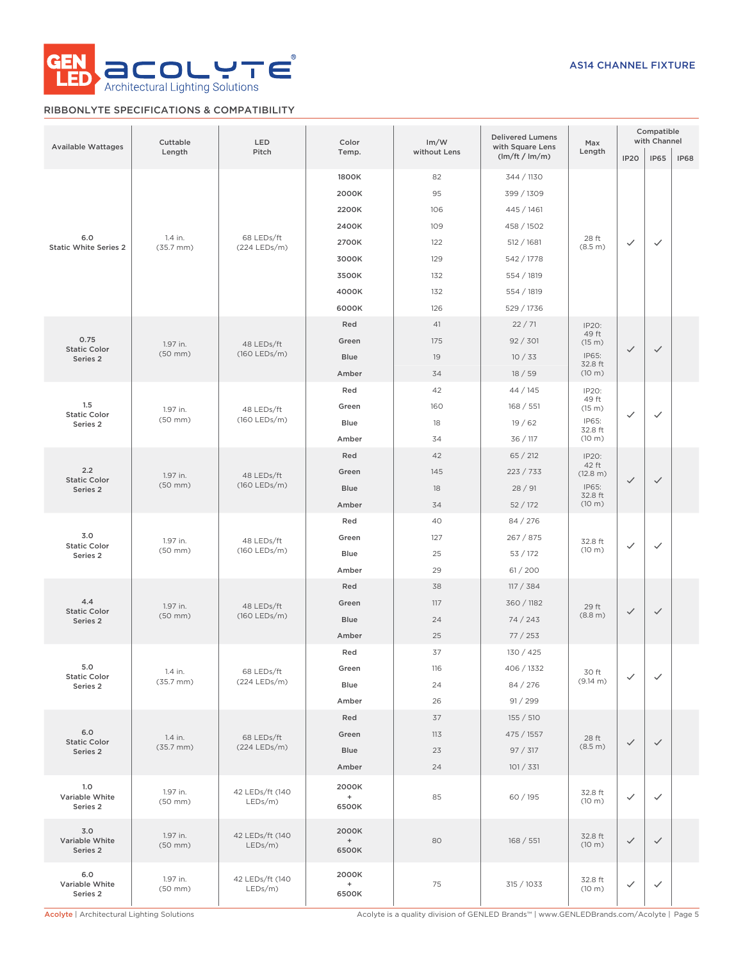

# RIBBONLYTE SPECIFICATIONS & COMPATIBILITY

| Available Wattages                     | Cuttable<br>Length               | LED<br>Pitch               | Color<br>Temp.        | Im/W<br>without Lens | <b>Delivered Lumens</b><br>with Square Lens<br>(lm/ft / lm/m) | Max<br>Length     | <b>IP20</b>  | Compatible<br>with Channel<br><b>IP65</b> | <b>IP68</b> |
|----------------------------------------|----------------------------------|----------------------------|-----------------------|----------------------|---------------------------------------------------------------|-------------------|--------------|-------------------------------------------|-------------|
|                                        |                                  |                            | 1800K                 | 82                   | 344 / 1130                                                    |                   |              |                                           |             |
| 6.0<br><b>Static White Series 2</b>    |                                  |                            | 2000K                 | 95                   | 399 / 1309                                                    |                   |              |                                           |             |
|                                        |                                  |                            | 2200K                 | 106                  | 445 / 1461                                                    |                   |              |                                           |             |
|                                        |                                  |                            | 2400K                 | 109                  | 458 / 1502                                                    |                   | $\checkmark$ | $\checkmark$                              |             |
|                                        | 1.4 in.                          | 68 LEDs/ft                 | 2700K                 | 122                  | 512 / 1681                                                    | 28 ft             |              |                                           |             |
|                                        | $(35.7 \, \text{mm})$            | (224 LEDs/m)               | 3000K                 | 129                  | 542 / 1778                                                    | (8.5 m)           |              |                                           |             |
|                                        |                                  |                            | 3500K                 | 132                  | 554 / 1819                                                    |                   |              |                                           |             |
|                                        |                                  |                            | 4000K                 | 132                  | 554 / 1819                                                    |                   |              |                                           |             |
|                                        |                                  |                            | 6000K                 | 126                  | 529 / 1736                                                    |                   |              |                                           |             |
|                                        |                                  |                            | Red                   | 41                   | 22/71                                                         | IP20:             |              |                                           |             |
| 0.75                                   |                                  |                            | Green                 | 175                  | 92 / 301                                                      | 49 ft             |              |                                           |             |
| <b>Static Color</b>                    | 1.97 in.<br>$(50$ mm $)$         | 48 LEDs/ft<br>(160 LEDs/m) | <b>Blue</b>           | 19                   | 10/33                                                         | (15 m)<br>IP65:   | $\checkmark$ | $\checkmark$                              |             |
| Series 2                               |                                  |                            | Amber                 | 34                   | 18/59                                                         | 32.8 ft<br>(10 m) |              |                                           |             |
|                                        |                                  |                            | Red                   | 42                   | 44 / 145                                                      |                   |              |                                           |             |
| 1.5                                    |                                  |                            | Green                 | 160                  | 168 / 551                                                     | IP20:<br>49 ft    |              |                                           |             |
| <b>Static Color</b>                    | 1.97 in.<br>$(50$ mm $)$         | 48 LEDs/ft<br>(160 LEDs/m) | <b>Blue</b>           | 18                   | 19/62                                                         | (15 m)<br>IP65:   | $\checkmark$ | $\checkmark$                              |             |
| Series 2                               |                                  |                            | Amber                 | 34                   | 36 / 117                                                      | 32.8 ft<br>(10 m) |              |                                           |             |
|                                        |                                  |                            | Red                   | 42                   | 65 / 212                                                      |                   |              |                                           |             |
| 2.2<br><b>Static Color</b><br>Series 2 |                                  | 48 LEDs/ft<br>(160 LEDs/m) | Green                 | 145                  | 223 / 733                                                     | IP20:<br>42 ft    |              |                                           |             |
|                                        | 1.97 in.<br>$(50$ mm $)$         |                            | <b>Blue</b>           | 18                   | 28/91                                                         | (12.8 m)<br>IP65: | $\checkmark$ | $\checkmark$                              |             |
|                                        |                                  |                            | Amber                 | 34                   | 52/172                                                        | 32.8 ft<br>(10 m) |              |                                           |             |
|                                        |                                  |                            | Red                   | 40                   | 84 / 276                                                      |                   |              |                                           |             |
| 3.0                                    | 1.97 in.<br>$(50$ mm $)$         | 48 LEDs/ft<br>(160 LEDs/m) | Green                 | 127                  | 267 / 875                                                     |                   | $\checkmark$ | $\checkmark$                              |             |
| <b>Static Color</b>                    |                                  |                            | <b>Blue</b>           | 25                   | 53 / 172                                                      | 32.8 ft<br>(10 m) |              |                                           |             |
| Series 2                               |                                  |                            | Amber                 | 29                   |                                                               |                   |              |                                           |             |
|                                        |                                  |                            | Red                   | 38                   | 61/200<br>117 / 384                                           |                   |              |                                           |             |
| 4.4                                    |                                  | 48 LEDs/ft<br>(160 LEDs/m) | Green                 | 117                  | 360 / 1182                                                    |                   |              |                                           |             |
| <b>Static Color</b>                    | 1.97 in.<br>$(50$ mm $)$         |                            | <b>Blue</b>           | 24                   |                                                               | 29 ft<br>(8.8 m)  | $\checkmark$ | $\checkmark$                              |             |
| Series 2                               |                                  |                            | Amber                 | 25                   | 74/243<br>77/253                                              |                   |              |                                           |             |
|                                        |                                  |                            | Red                   | 37                   | 130 / 425                                                     |                   |              |                                           |             |
| 5.0                                    |                                  |                            |                       |                      | 406 / 1332                                                    |                   |              |                                           |             |
| <b>Static Color</b>                    | 1.4 in.<br>$(35.7 \, \text{mm})$ | 68 LEDs/ft<br>(224 LEDs/m) | Green                 | 116<br>24            | 84 / 276                                                      | 30 ft<br>(9.14 m) | $\checkmark$ | $\checkmark$                              |             |
| Series 2                               |                                  |                            | Blue<br>Amber         | 26                   | 91 / 299                                                      |                   |              |                                           |             |
|                                        |                                  |                            | Red                   | 37                   | 155 / 510                                                     |                   |              |                                           |             |
| 6.0                                    |                                  |                            | Green                 | 113                  | 475 / 1557                                                    |                   |              |                                           |             |
| <b>Static Color</b>                    | 1.4 in.<br>$(35.7 \, \text{mm})$ | 68 LEDs/ft<br>(224 LEDs/m) | Blue                  | 23                   | 97 / 317                                                      | 28 ft<br>(8.5 m)  | $\checkmark$ | $\checkmark$                              |             |
| Series 2                               |                                  |                            | Amber                 | 24                   | 101 / 331                                                     |                   |              |                                           |             |
|                                        |                                  |                            |                       |                      |                                                               |                   |              |                                           |             |
| 1.0<br>Variable White<br>Series 2      | 1.97 in.<br>$(50$ mm $)$         | 42 LEDs/ft (140<br>LEDs/m) | 2000K<br>$+$<br>6500K | 85                   | 60 / 195                                                      | 32.8 ft<br>(10 m) | $\checkmark$ | $\checkmark$                              |             |
| 3.0<br>Variable White<br>Series 2      | 1.97 in.<br>$(50$ mm $)$         | 42 LEDs/ft (140<br>LEDs/m) | 2000K<br>$+$<br>6500K | 80                   | 168 / 551                                                     | 32.8 ft<br>(10 m) | $\checkmark$ | $\checkmark$                              |             |
| 6.0<br>Variable White<br>Series 2      | 1.97 in.<br>$(50$ mm $)$         | 42 LEDs/ft (140<br>LEDs/m) | 2000K<br>$+$<br>6500K | 75                   | 315 / 1033                                                    | 32.8 ft<br>(10 m) | $\checkmark$ | $\checkmark$                              |             |

Acolyte | Architectural Lighting Solutions **Acolyte is a quality division of GENLED Brands™** | www.GENLEDBrands.com/Acolyte | Page 5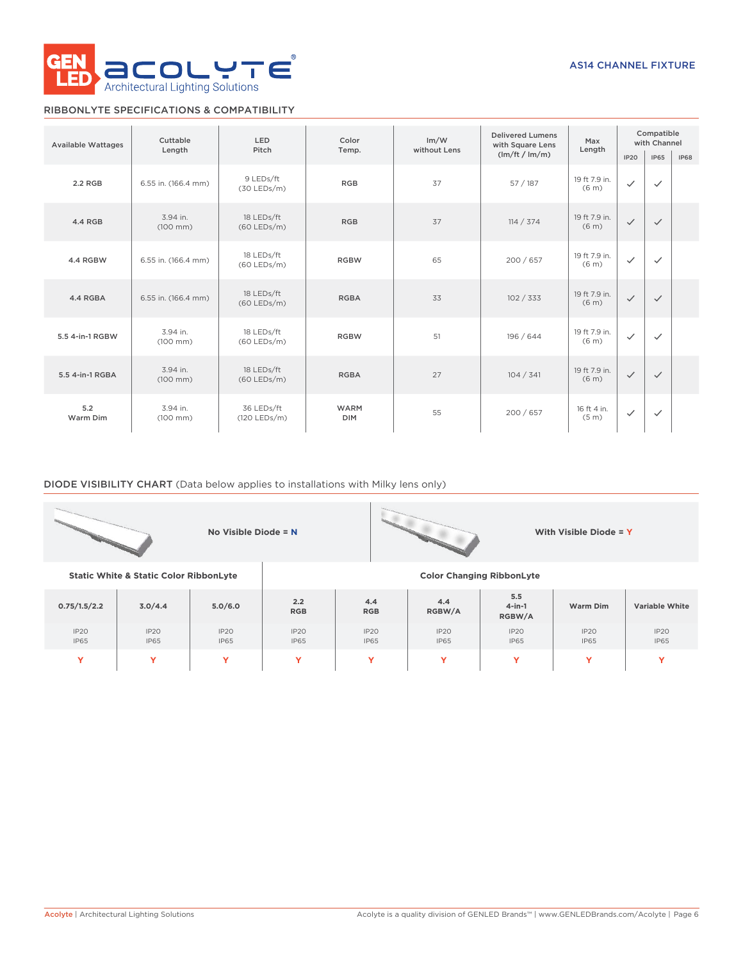

# RIBBONLYTE SPECIFICATIONS & COMPATIBILITY

| <b>Available Wattages</b> | Cuttable                         | <b>LED</b>                  | Color                     | Im/W         | <b>Delivered Lumens</b><br>with Square Lens | Max                                | Compatible<br>with Channel |              |             |
|---------------------------|----------------------------------|-----------------------------|---------------------------|--------------|---------------------------------------------|------------------------------------|----------------------------|--------------|-------------|
|                           | Length                           | Pitch                       | Temp.                     | without Lens | (lm/ft / lm/m)                              | Length                             | IP20                       | <b>IP65</b>  | <b>IP68</b> |
| 2.2 RGB                   | 6.55 in. (166.4 mm)              | 9 LEDs/ft<br>$(30$ LEDs/m)  | <b>RGB</b>                | 37           | 57/187                                      | 19 ft 7.9 in.<br>(6 <sub>m</sub> ) | $\checkmark$               | $\checkmark$ |             |
| 4.4 RGB                   | 3.94 in.<br>$(100 \, \text{mm})$ | 18 LEDs/ft<br>$(60$ LEDs/m) | <b>RGB</b>                | 37           | 114 / 374                                   | 19 ft 7.9 in.<br>(6 <sub>m</sub> ) | $\checkmark$               | $\checkmark$ |             |
| 4.4 RGBW                  | 6.55 in. (166.4 mm)              | 18 LEDs/ft<br>$(60$ LEDs/m) | <b>RGBW</b>               | 65           | 200 / 657                                   | 19 ft 7.9 in.<br>(6 <sub>m</sub> ) | $\checkmark$               | $\checkmark$ |             |
| 4.4 RGBA                  | 6.55 in. (166.4 mm)              | 18 LEDs/ft<br>$(60$ LEDs/m) | <b>RGBA</b>               | 33           | 102 / 333                                   | 19 ft 7.9 in.<br>(6 <sub>m</sub> ) | $\checkmark$               | $\checkmark$ |             |
| 5.5 4-in-1 RGBW           | 3.94 in.<br>$(100 \, \text{mm})$ | 18 LEDs/ft<br>$(60$ LEDs/m) | <b>RGBW</b>               | 51           | 196 / 644                                   | 19 ft 7.9 in.<br>(6 <sub>m</sub> ) | $\checkmark$               | $\checkmark$ |             |
| 5.5 4-in-1 RGBA           | 3.94 in.<br>$(100 \, \text{mm})$ | 18 LEDs/ft<br>$(60$ LEDs/m) | <b>RGBA</b>               | 27           | 104 / 341                                   | 19 ft 7.9 in.<br>(6 <sub>m</sub> ) | $\checkmark$               | $\checkmark$ |             |
| 5.2<br>Warm Dim           | 3.94 in.<br>$(100 \, \text{mm})$ | 36 LEDs/ft<br>(120 LEDs/m)  | <b>WARM</b><br><b>DIM</b> | 55           | 200 / 657                                   | 16 ft 4 in.<br>(5 <sub>m</sub> )   | $\checkmark$               | $\checkmark$ |             |

# DIODE VISIBILITY CHART (Data below applies to installations with Milky lens only)

|              |                                                   | No Visible Diode = N |                     |                                             |                                  |                            | With Visible Diode = Y |                       |  |  |
|--------------|---------------------------------------------------|----------------------|---------------------|---------------------------------------------|----------------------------------|----------------------------|------------------------|-----------------------|--|--|
|              | <b>Static White &amp; Static Color RibbonLyte</b> |                      |                     |                                             | <b>Color Changing RibbonLyte</b> |                            |                        |                       |  |  |
| 0.75/1.5/2.2 | 3.0/4.4                                           | 5.0/6.0              | 2.2<br><b>RGB</b>   | 4.4<br><b>RGB</b>                           | 4.4<br>RGBW/A                    | 5.5<br>$4$ -in-1<br>RGBW/A | Warm Dim               | <b>Variable White</b> |  |  |
| IP2O<br>IP65 | IP20<br><b>IP65</b>                               | IP2O<br><b>IP65</b>  | IP20<br><b>IP65</b> | IP20<br><b>IP65</b>                         | IP20<br><b>IP65</b>              | IP20<br><b>IP65</b>        | IP20<br><b>IP65</b>    | IP20<br><b>IP65</b>   |  |  |
| Y            | Y                                                 | Y                    | Y                   | v<br>v<br>$\checkmark$<br>Y<br>$\checkmark$ |                                  |                            |                        |                       |  |  |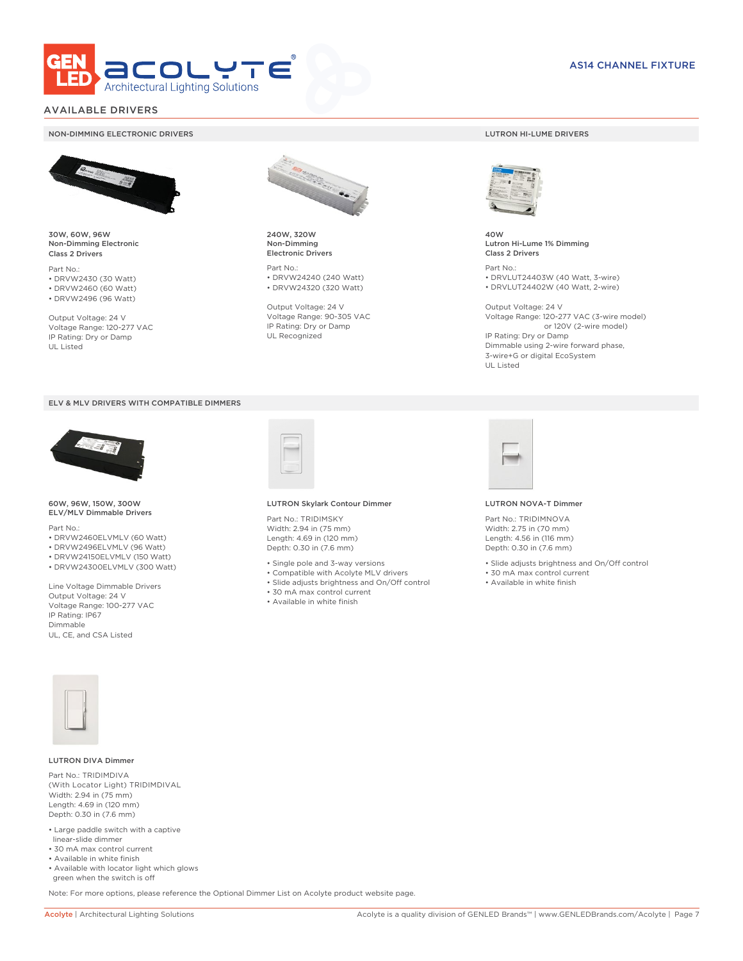

# AVAILABLE DRIVERS

### NON-DIMMING ELECTRONIC DRIVERS LUTRON HI-LUME DRIVERS



30W, 60W, 96W Non-Dimming Electronic Class 2 Drivers

Part No.: • DRVW2430 (30 Watt) • DRVW2460 (60 Watt)

• DRVW2496 (96 Watt)

Output Voltage: 24 V Voltage Range: 120-277 VAC IP Rating: Dry or Damp UL Listed





60W, 96W, 150W, 300W ELV/MLV Dimmable Drivers

Part No.:

- DRVW2460ELVMLV (60 Watt)
- DRVW2496ELVMLV (96 Watt)
- DRVW24150ELVMLV (150 Watt)
- DRVW24300ELVMLV (300 Watt)

Line Voltage Dimmable Drivers Output Voltage: 24 V Voltage Range: 100-277 VAC IP Rating: IP67 Dimmable UL, CE, and CSA Listed



240W, 320W Non-Dimming Electronic Drivers

Part No.: • DRVW24240 (240 Watt) • DRVW24320 (320 Watt)

Output Voltage: 24 V Voltage Range: 90-305 VAC IP Rating: Dry or Damp UL Recognized



40W Lutron Hi-Lume 1% Dimming Class 2 Drivers

Part No.: • DRVLUT24403W (40 Watt, 3-wire) • DRVLUT24402W (40 Watt, 2-wire)

Output Voltage: 24 V Voltage Range: 120-277 VAC (3-wire model) or 120V (2-wire model) IP Rating: Dry or Damp Dimmable using 2-wire forward phase, 3-wire+G or digital EcoSystem UL Listed



### LUTRON Skylark Contour Dimmer

Part No.: TRIDIMSKY Width: 2.94 in (75 mm) Length: 4.69 in (120 mm) Depth: 0.30 in (7.6 mm)

- Single pole and 3-way versions
- Compatible with Acolyte MLV drivers
- Slide adjusts brightness and On/Off control
- 30 mA max control current
- Available in white finish



### LUTRON NOVA-T Dimmer

Part No.: TRIDIMNOVA Width: 2.75 in (70 mm) Length: 4.56 in (116 mm) Depth: 0.30 in (7.6 mm)

- Slide adjusts brightness and On/Off control
- 30 mA max control current
- Available in white finish



### LUTRON DIVA Dimmer

Part No.: TRIDIMDIVA (With Locator Light) TRIDIMDIVAL Width: 2.94 in (75 mm) Length: 4.69 in (120 mm) Depth: 0.30 in (7.6 mm)

- Large paddle switch with a captive linear-slide dimmer
- 30 mA max control current
- Available in white finish
- Available with locator light which glows green when the switch is off

Note: For more options, please reference the Optional Dimmer List on Acolyte product website page.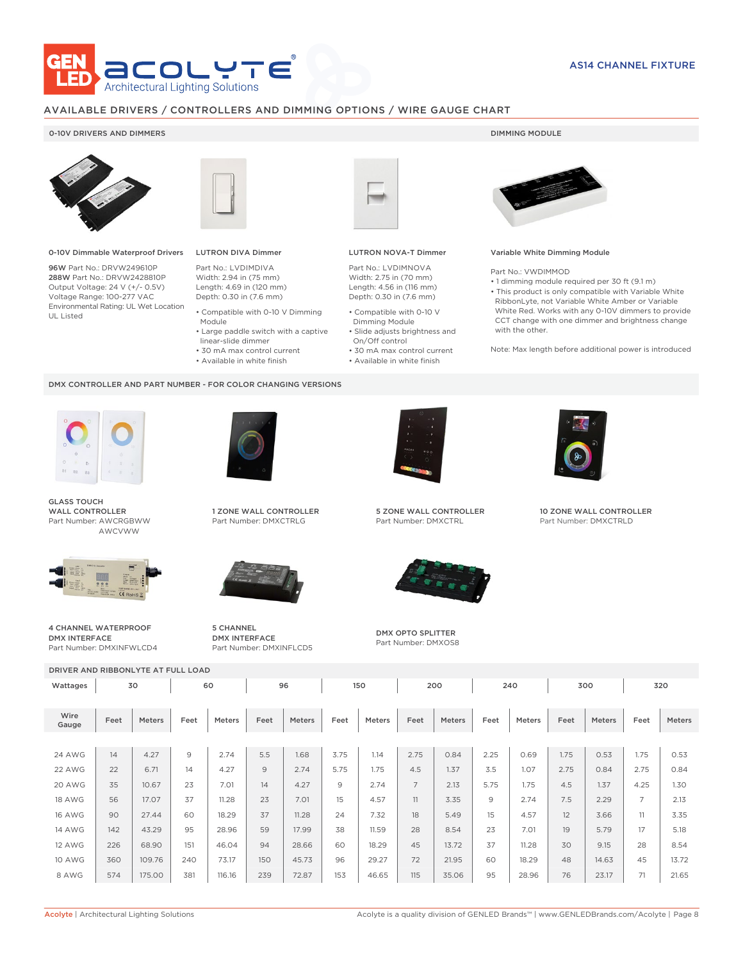

# AVAILABLE DRIVERS / CONTROLLERS AND DIMMING OPTIONS / WIRE GAUGE CHART

### 0-10V DRIVERS AND DIMMERS **DIMMING MODULE**



0-10V Dimmable Waterproof Drivers

96W Part No.: DRVW249610P 288W Part No.: DRVW2428810P Output Voltage: 24 V (+/- 0.5V) Voltage Range: 100-277 VAC Environmental Rating: UL Wet Location UL Listed



# LUTRON DIVA Dimmer

Part No.: LVDIMDIVA Width: 2.94 in (75 mm) Length: 4.69 in (120 mm) Depth: 0.30 in (7.6 mm)

- 
- Compatible with 0-10 V Dimming Module
- Large paddle switch with a captive
- linear-slide dimmer • 30 mA max control current
- 
- Available in white finish

### DMX CONTROLLER AND PART NUMBER - FOR COLOR CHANGING VERSIONS



GLASS TOUCH WALL CONTROLLER Part Number: AWCRGBWW AWCVWW



4 CHANNEL WATERPROOF DMX INTERFACE Part Number: DMXINFWLCD4



1 ZONE WALL CONTROLLER Part Number: DMXCTRLG



5 CHANNEL DMX INTERFACE Part Number: DMXINFLCD5



### LUTRON NOVA-T Dimmer

Part No.: LVDIMNOVA Width: 2.75 in (70 mm) Length: 4.56 in (116 mm) Depth: 0.30 in (7.6 mm)

- Compatible with 0-10 V Dimming Module
- Slide adjusts brightness and On/Off control
- 30 mA max control current • Available in white finish
	-



### Variable White Dimming Module

Part No.: VWDIMMOD

• 1 dimming module required per 30 ft (9.1 m) • This product is only compatible with Variable White RibbonLyte, not Variable White Amber or Variable White Red. Works with any 0-10V dimmers to provide CCT change with one dimmer and brightness change with the other.

Note: Max length before additional power is introduced



5 ZONE WALL CONTROLLER Part Number: DMXCTRL



DMX OPTO SPLITTER Part Number: DMXOS8



10 ZONE WALL CONTROLLER Part Number: DMXCTRLD

DRIVER AND RIBBONLYTE AT FULL LOAD Wattages 30 | 60 | 96 | 150 | 200 | 240 | 300 | 320

| Wire<br>Feet<br>Gauge | Meters | Feet | Meters | Feet | Meters | Feet | <b>Meters</b> | Feet           | Meters | Feet | Meters | Feet | <b>Meters</b> | Feet           | Meters |
|-----------------------|--------|------|--------|------|--------|------|---------------|----------------|--------|------|--------|------|---------------|----------------|--------|
|                       |        |      |        |      |        |      |               |                |        |      |        |      |               |                |        |
| 24 AWG<br>14          | 4.27   | 9    | 2.74   | 5.5  | 1.68   | 3.75 | 1.14          | 2.75           | 0.84   | 2.25 | 0.69   | 1.75 | 0.53          | 1.75           | 0.53   |
| 22<br>22 AWG          | 6.71   | 14   | 4.27   | 9    | 2.74   | 5.75 | 1.75          | 4.5            | 1.37   | 3.5  | 1.07   | 2.75 | 0.84          | 2.75           | 0.84   |
| 20 AWG<br>35          | 10.67  | 23   | 7.01   | 14   | 4.27   | 9    | 2.74          | $\overline{7}$ | 2.13   | 5.75 | 1.75   | 4.5  | 1.37          | 4.25           | 1.30   |
| <b>18 AWG</b><br>56   | 17.07  | 37   | 11.28  | 23   | 7.01   | 15   | 4.57          | 11             | 3.35   | 9    | 2.74   | 7.5  | 2.29          | $\overline{7}$ | 2.13   |
| 90<br><b>16 AWG</b>   | 27.44  | 60   | 18.29  | 37   | 11.28  | 24   | 7.32          | 18             | 5.49   | 15   | 4.57   | 12   | 3.66          | 11             | 3.35   |
| <b>14 AWG</b><br>142  | 43.29  | 95   | 28.96  | 59   | 17.99  | 38   | 11.59         | 28             | 8.54   | 23   | 7.01   | 19   | 5.79          | 17             | 5.18   |
| 226<br><b>12 AWG</b>  | 68.90  | 151  | 46.04  | 94   | 28.66  | 60   | 18.29         | 45             | 13.72  | 37   | 11.28  | 30   | 9.15          | 28             | 8.54   |
| 10 AWG<br>360         | 109.76 | 240  | 73.17  | 150  | 45.73  | 96   | 29.27         | 72             | 21.95  | 60   | 18.29  | 48   | 14.63         | 45             | 13.72  |
| 574<br>8 AWG          | 175.00 | 381  | 116.16 | 239  | 72.87  | 153  | 46.65         | 115            | 35.06  | 95   | 28.96  | 76   | 23.17         | 71             | 21.65  |